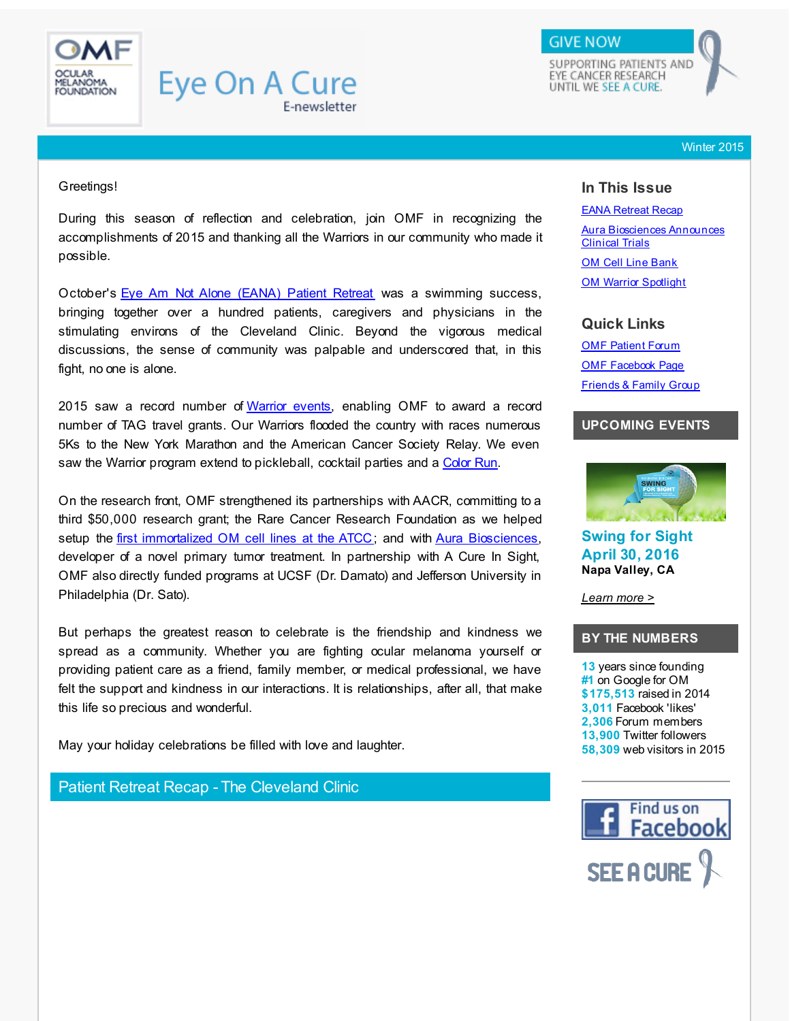<span id="page-0-0"></span>

#### Winter 2015

#### Greetings!

During this season of reflection and celebration, join OMF in recognizing the accomplishments of 2015 and thanking all the Warriors in our community who made it possible.

October's Eye Am Not Alone [\(EANA\)](http://r20.rs6.net/tn.jsp?f=001-PEez3fFcs2vFoonczRy92d1_ZwJS6Mod4wbuhJgK3EG8g-KZCS4vwMgysU7WfKcMY-79hYW-7rK1fD7Fdx8caAd-PQXZrxWoM1aRQBp5Ir9jZSwtulDTXCw_B_RRyDWo25nnTvtKnSDw3W3IvqD27rdtN4sfFem_3ajhq48VXZdcs2lEbOAoa92x4F7nLfcnXqE6De20ZCEW9UP8uesACFmvYudKISmp9W66Eomi2xFqvCzqAXBOA==&c=&ch=) Patient Retreat was a swimming success, bringing together over a hundred patients, caregivers and physicians in the stimulating environs of the Cleveland Clinic. Beyond the vigorous medical discussions, the sense of community was palpable and underscored that, in this fight, no one is alone.

2015 saw a record number of [Warrior](#page-4-0) events, enabling OMF to award a record number of TAG travel grants. Our Warriors flooded the country with races numerous 5Ks to the New York Marathon and the American Cancer Society Relay. We even saw the Warrior program extend to pickleball, cocktail parties and a [Color](#page-4-0) Run.

On the research front, OMF strengthened its partnerships with AACR, committing to a third \$50,000 research grant; the Rare Cancer Research Foundation as we helped setup the first [immortalized](#page-4-1) OM cell lines at the ATCC; and with Aura [Biosciences](#page-3-0), developer of a novel primary tumor treatment. In partnership with A Cure In Sight, OMF also directly funded programs at UCSF (Dr. Damato) and Jefferson University in Philadelphia (Dr. Sato).

But perhaps the greatest reason to celebrate is the friendship and kindness we spread as a community. Whether you are fighting ocular melanoma yourself or providing patient care as a friend, family member, or medical professional, we have felt the support and kindness in our interactions. It is relationships, after all, that make this life so precious and wonderful.

May your holiday celebrations be filled with love and laughter.

Patient Retreat Recap - The Cleveland Clinic

# **In This Issue**

EANA [Retreat](#page-0-0) Recap Aura [Biosciences](#page-0-0) Announces Clinical Trials

**OM Cell Line [Bank](#page-0-0)** OM Warrior [Spotlight](#page-0-0)

### **Quick Links**

**OMF [Patient](http://r20.rs6.net/tn.jsp?f=001-PEez3fFcs2vFoonczRy92d1_ZwJS6Mod4wbuhJgK3EG8g-KZCS4v9z_QYBZcYyt_XAEUFMhM0AttPoS2MArDeSseB9mVCKSreR3KfvNd4NpLaZKBruEy_dWJyuV34A2mYwnZYwhHoCCq0nIKihvOxzhz5n7M42mlcDHCGIX4lPffui1sqmTolLCTp29OBUyL6TeOyBBSFuRNLRLUV3ya7gemr6MsLioQT_84UeaL7PavXtnihTjDglIhQgUu-Hej-wYsrU0ft9ESfRDxvbMEea9eYQOXYKQpgzTjkXGNurIwYgvKPFEnA==&c=&ch=) Forum** OMF [Facebook](http://r20.rs6.net/tn.jsp?f=001-PEez3fFcs2vFoonczRy92d1_ZwJS6Mod4wbuhJgK3EG8g-KZCS4v9o2kcI2BMM6jbRdHW28zZwTABCdfOESrUWsyW78Yq351Z6eU35PAgTgho2btQvkxeSw_mqSsW1Y8Ha9ZA0UuhMui3xLSWTHJe4VHmJ6svY_hLHR-KVQp7IFRcvomPhLvnCgvx_aLFSo&c=&ch=) Page [Friends](http://r20.rs6.net/tn.jsp?f=001-PEez3fFcs2vFoonczRy92d1_ZwJS6Mod4wbuhJgK3EG8g-KZCS4vwav_LJP50fk0cnnl0lXC516MAOq8TV51SH7Bmd6L8o85YZSOpRjIRK4i4t1M_Vl9DsLeCL4VCJu8Z4MpBFq5rHP2EIdlZtIGNUvzwx5rgTTw5dEJHvUYMnWSSAISDOApddH3Lld0U1IZiB9OpctRR8=&c=&ch=) & Family Group

# **UPCOMING EVENTS**



**Swing for Sight April 30, 2016 Napa Valley, CA**

*[Learn](http://r20.rs6.net/tn.jsp?f=001-PEez3fFcs2vFoonczRy92d1_ZwJS6Mod4wbuhJgK3EG8g-KZCS4v9M3eI0EcFUAfWWKrMPnH2d1L4dSVdLONUoPy-ZrNVmCjpzPxIwcAAa5NAGI28Kwd22ynqci7XFrj42JlxO-iiUgMkq3VX0kOfqzieI-F3astNgbSQLRjsIMOYO9CcWxYsSnsTSioGM7pMVCdYKHtipTUwJM8wxjTQRx3-sw61L3WsboqqCZ6Us9jNYJci0BsCCpGhxg76qfb1ViXrHgGvIs1Q0htqacpydWNiKdZs6ZVIXikwTMhZcxV_MV29z5YA==&c=&ch=) more >*

# **BY THE NUMBERS**

**13** years since founding **#1** on Google for OM **\$175,513** raised in 2014 **3,011** Facebook 'likes' **2,306** Forum members **13,900** Twitter followers **58,309** web visitors in 2015

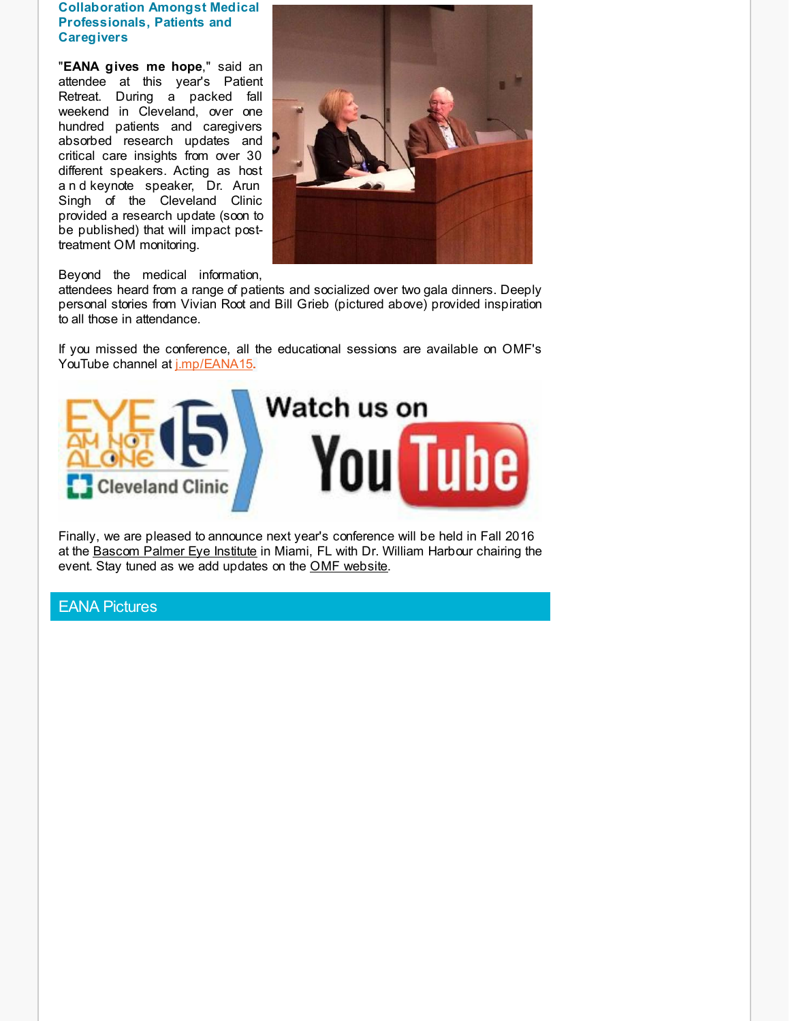### **Collaboration Amongst Medical Professionals, Patients and Caregivers**

"**EANA gives me hope**," said an attendee at this year's Patient Retreat. During a packed fall weekend in Cleveland, over one hundred patients and caregivers absorbed research updates and critical care insights from over 30 different speakers. Acting as host a n d keynote speaker, Dr. Arun Singh of the Cleveland Clinic provided a research update (soon to be published) that will impact posttreatment OM monitoring.



### Beyond the medical information,

attendees heard from a range of patients and socialized over two gala dinners. Deeply personal stories from Vivian Root and Bill Grieb (pictured above) provided inspiration to all those in attendance.

If you missed the conference, all the educational sessions are available on OMF's YouTube channel at *[j.mp/EANA15](http://r20.rs6.net/tn.jsp?f=001-PEez3fFcs2vFoonczRy92d1_ZwJS6Mod4wbuhJgK3EG8g-KZCS4vwMgysU7WfKc-7dAaxYkBBVCWNJEk8csTRl1xTBaM-GeNont67YzUildeQfaTjOz5z519a1IoNWd0PFup8quMUyPg6Ha_PnAnRYRd-hnyor8pKYKVWTyRL4qCTt9Cl4qX_tLyzTQfZOlguQZPCcZdq3OiNDZGShuJzsJqWdml30DaRP61u-IPCRElDYnwQ49XAbzzC6BEM57QO33kBm8Twh5wdxeytaoYk_ah5aDcDoI&c=&ch=).* 



Finally, we are pleased to announce next year's conference will be held in Fall 2016 at the [Bascom](http://r20.rs6.net/tn.jsp?f=001-PEez3fFcs2vFoonczRy92d1_ZwJS6Mod4wbuhJgK3EG8g-KZCS4vwMHBff-uCS42W9Ryal2ORIEjuYSgfLsR3zu723H8xngaHL2XHx3errdrm5K8pmBQHsSAo8oVQNeSqgQ0YqXfD8k9RAV3Mhxc1hizYFUM5fJc9HVEDjDlVDMTvZVJffinfNdq1sZGBt1jI4KpmtBKZQ0z2oEwBQu7fO664ZSqgkvAQope5eKOe2ULUPXwZG3bqRH8xsjFDlg15A9wYkYN1eqK7bkstS3owH2yRo5NHnwClWr_AELFYA=&c=&ch=) Palmer Eye Institute in Miami, FL with Dr. William Harbour chairing the event. Stay tuned as we add updates on the OMF [website](http://r20.rs6.net/tn.jsp?f=001-PEez3fFcs2vFoonczRy92d1_ZwJS6Mod4wbuhJgK3EG8g-KZCS4v01Ix19j-FKa6NYjZg0AWNxH-BXvv2-tbh-5JP3zKwVhZgSC4yOKP8YoqYiskzbejJCxX5Do_0748aOoCZkzihdDIPUv17Z72jxaOKgsA8yDXfEGGd9Deyn0AKfXcrG4BQeRJBigguP2r5wlzqAB7Di3TFzlbxoRMROZMzODUsE_Totp2fD4OSCMbADOvsIxDYU9ZCEJIFMBebRIYx3qBN7HEkPQ9rAaEbMMjRMVVE_wSaQ6mmhOlsGv59y8KdjTkb5DdJEMRnVG&c=&ch=).

## EANA Pictures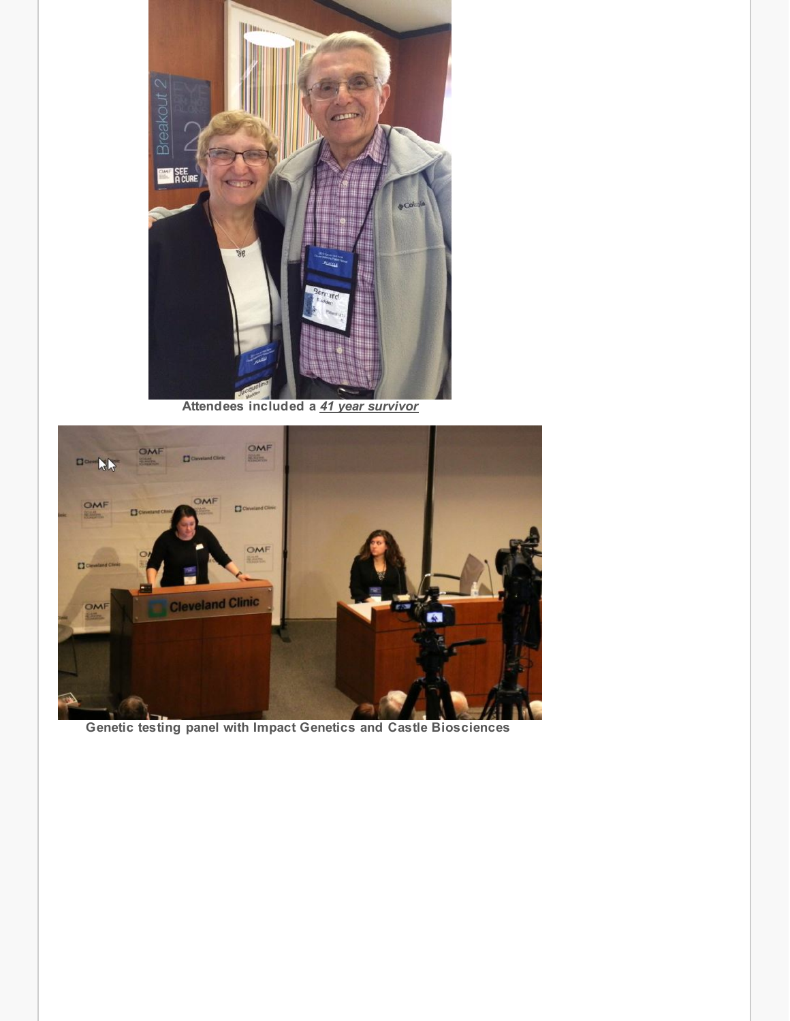

**Attendees included a** *41 year survivor*



**Genetic testing panel with Impact Genetics and Castle Biosciences**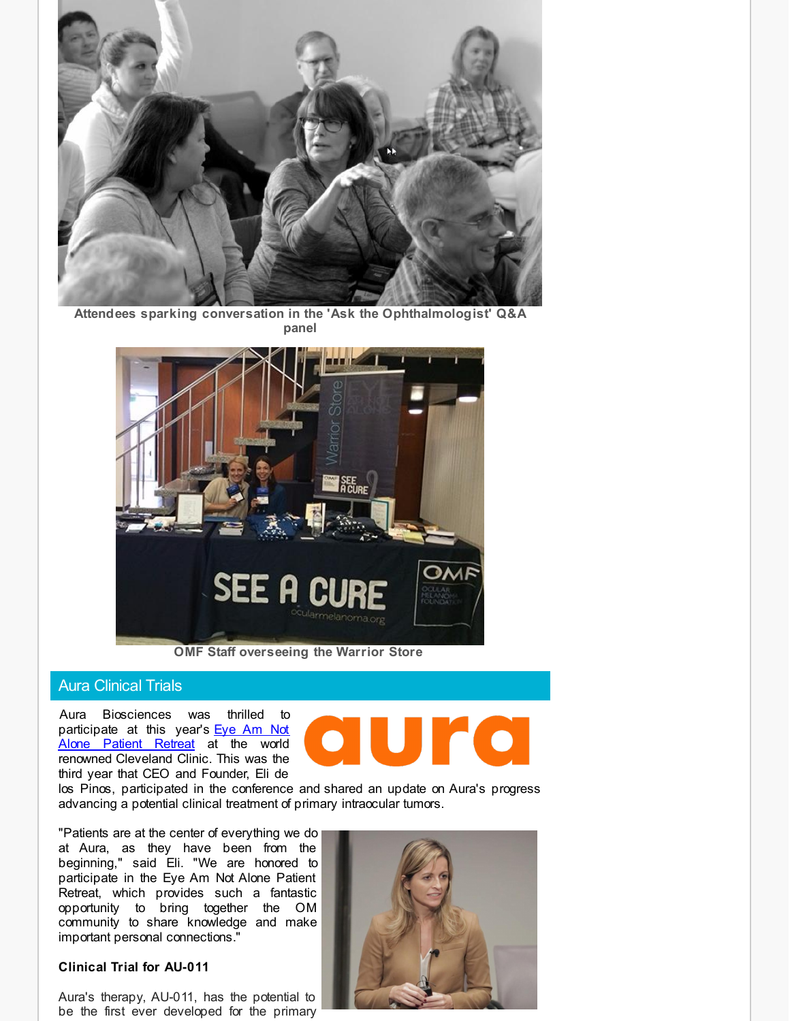

**Attendees sparking conversation in the 'Ask the Ophthalmologist' Q&A panel**



**OMF Staff overseeing the Warrior Store**

### Aura Clinical Trials

<span id="page-3-0"></span>Aura Biosciences was thrilled to [participate](http://r20.rs6.net/tn.jsp?f=001-PEez3fFcs2vFoonczRy92d1_ZwJS6Mod4wbuhJgK3EG8g-KZCS4v3fLK3dTzg9o5l5Dk5u6wgGXMqwwV8sEKn3iYJpwCUouLySTXAVGev23uLQKYNuxHvAdvZ1J_OrzwlldX41buB-LfN1FExmEj6H2-2OFqw0KfZM8eZ5ohwZ7pqUCMg7qEAK-uXGdrfm_ybqoSaDfvasWszsJMIhpqKI-ktnWYGHH3ITZI8C0JLUFtnPFYF0xtPk8uOHHKrnPA2VSyPtjwp-F_r8Jb0lH14pJBcmwCVpBKH1gNw0CYxoSExA0dsdYAWVz0NTkSUwC&c=&ch=) at this year's Eye Am Not Alone Patient Retreat at the world renowned Cleveland Clinic. This was the third year that CEO and Founder, Eli de

![](_page_3_Picture_6.jpeg)

los Pinos, participated in the conference and shared an update on Aura's progress advancing a potential clinical treatment of primary intraocular tumors.

"Patients are at the center of everything we do at Aura, as they have been from the beginning," said Eli. "We are honored to participate in the Eye Am Not Alone Patient Retreat, which provides such a fantastic opportunity to bring together the OM community to share knowledge and make important personal connections."

### **Clinical Trial for AU-011**

Aura's therapy, AU-011, has the potential to be the first ever developed for the primary

![](_page_3_Picture_11.jpeg)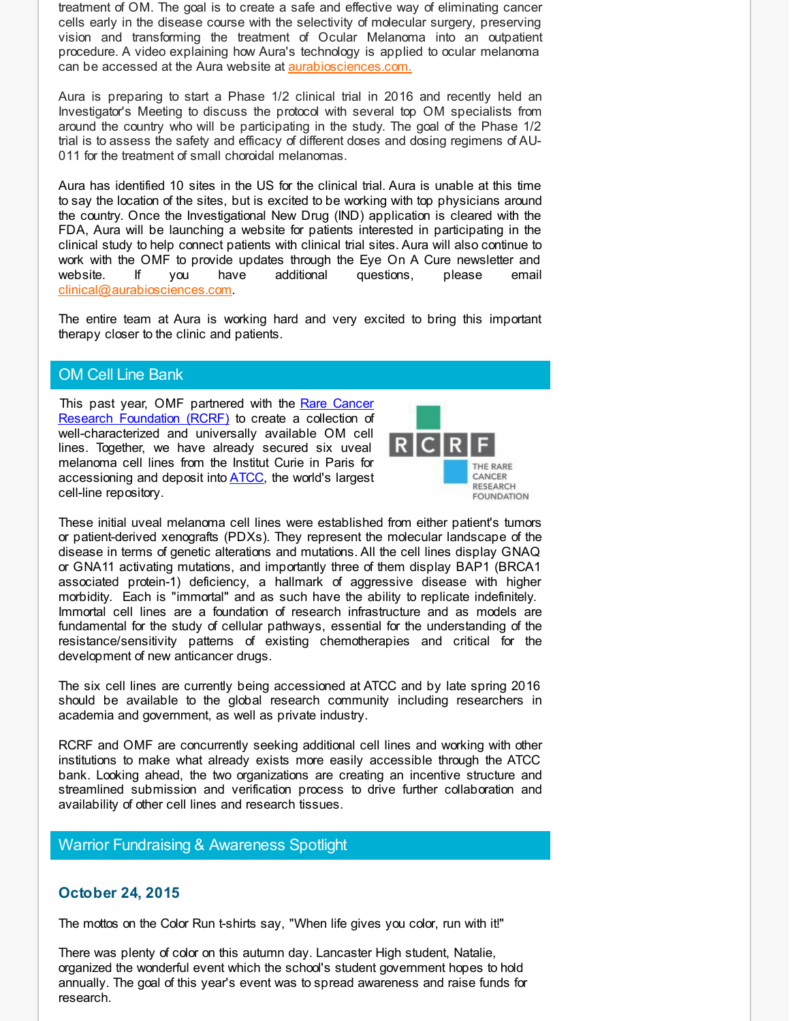treatment of OM. The goal is to create a safe and effective way of eliminating cancer cells early in the disease course with the selectivity of molecular surgery, preserving vision and transforming the treatment of Ocular Melanoma into an outpatient procedure. A video explaining how Aura's technology is applied to ocular melanoma can be accessed at the Aura website at **[aurabiosciences.com.](http://r20.rs6.net/tn.jsp?f=001-PEez3fFcs2vFoonczRy92d1_ZwJS6Mod4wbuhJgK3EG8g-KZCS4vzCYM4sfyJ-Ar6XJsW5Qv_QwdWSZOpxu6mka1pOv0I3gZ6nNxCHHTXfjxUqeGzi_lRGvUixbyISG9dqQAB4Cz2t5npO-a9x0sqVu8hspkL77-BY-dqF7-SNQ58MPMJoIkEBR8cnRFZAjOLIucix21nVTwIpa1N79XdpMlTETw_Rz7F0c_8B1GthPSQXb8iL6VnTFVjdgYiWSe7ZIrQIaxfAz24P0zdNIRFsLa8_2P5nXlmWKvi4n-Ip6J0j7RfW6aCNn-_yUuvRo1DBRvbR-a9nM0sCwJKsG8Q==&c=&ch=)** 

Aura is preparing to start a Phase 1/2 clinical trial in 2016 and recently held an Investigator's Meeting to discuss the protocol with several top OM specialists from around the country who will be participating in the study. The goal of the Phase 1/2 trial is to assess the safety and efficacy of different doses and dosing regimens of AU-011 for the treatment of small choroidal melanomas.

Aura has identified 10 sites in the US for the clinical trial. Aura is unable at this time to say the location of the sites, but is excited to be working with top physicians around the country. Once the Investigational New Drug (IND) application is cleared with the FDA, Aura will be launching a website for patients interested in participating in the clinical study to help connect patients with clinical trial sites. Aura will also continue to work with the OMF to provide updates through the Eye On A Cure newsletter and website. If you have additional questions, please email [clinical@aurabiosciences.com.](mailto:clinical@aurabiosciences.com)

The entire team at Aura is working hard and very excited to bring this important therapy closer to the clinic and patients.

## OM Cell Line Bank

<span id="page-4-1"></span>This past year, OMF partnered with the Rare Cancer Research [Foundation](http://r20.rs6.net/tn.jsp?f=001-PEez3fFcs2vFoonczRy92d1_ZwJS6Mod4wbuhJgK3EG8g-KZCS4v3fLK3dTzg9oVgqwFwzSa-4EiYA-pUA50COcXfCZuXNDdiFzro1YdlWEydgHKGlWb8hREy4cb-ECCzosfOHbiq9-L9hDH782H0rU_O6-DzEsYML9zJtaPyg6gBJD7cLCvPWQSTRNzpITFxxPef0ifXBIJI8T_DVrSdTudbRd3VWc-rDM2IWxai-nJEmOdxAAiHtDbFUVzQ52yiu6RtBP3ZlzRthy4bzhlAMA4Sc3wB2suyGcbsv4E3k=&c=&ch=) (RCRF) to create a collection of well-characterized and universally available OM cell lines. Together, we have already secured six uveal melanoma cell lines from the Institut Curie in Paris for accessioning and deposit into [ATCC](http://r20.rs6.net/tn.jsp?f=001-PEez3fFcs2vFoonczRy92d1_ZwJS6Mod4wbuhJgK3EG8g-KZCS4vzCYM4sfyJ-Axw1RMySP_5oxTpzYP4E5_ALmD0LpvbyyGWbCXhBXc_3mNwD8RfLjbnKXxLNi7xWCA5AXfjqB6u-cCxN5Q77ae0pas50Axd9txTdOhl9EMFnvx-84MtgdSYqr5oDPNQ-2sjZu-g1rLBKNtIpsKvm6CCt2c6sW5j6aP6WuE1xpfDmbNTnHCB5QnHIyR8uPMEqdBDw9_HIICp2fMCV9KWcuBtF9Y9o8_3BRrZ8LbIWPj4U=&c=&ch=), the world's largest cell-line repository.

![](_page_4_Figure_6.jpeg)

These initial uveal melanoma cell lines were established from either patient's tumors or patient-derived xenografts (PDXs). They represent the molecular landscape of the disease in terms of genetic alterations and mutations. All the cell lines display GNAQ or GNA11 activating mutations, and importantly three of them display BAP1 (BRCA1 associated protein-1) deficiency, a hallmark of aggressive disease with higher morbidity. Each is "immortal" and as such have the ability to replicate indefinitely. Immortal cell lines are a foundation of research infrastructure and as models are fundamental for the study of cellular pathways, essential for the understanding of the resistance/sensitivity patterns of existing chemotherapies and critical for the development of new anticancer drugs.

The six cell lines are currently being accessioned at ATCC and by late spring 2016 should be available to the global research community including researchers in academia and government, as well as private industry.

RCRF and OMF are concurrently seeking additional cell lines and working with other institutions to make what already exists more easily accessible through the ATCC bank. Looking ahead, the two organizations are creating an incentive structure and streamlined submission and verification process to drive further collaboration and availability of other cell lines and research tissues.

# Warrior Fundraising & Awareness Spotlight

## <span id="page-4-0"></span>**October 24, 2015**

The mottos on the Color Run t-shirts say, "When life gives you color, run with it!"

There was plenty of color on this autumn day. Lancaster High student, Natalie, organized the wonderful event which the school's student government hopes to hold annually. The goal of this year's event was to spread awareness and raise funds for research.